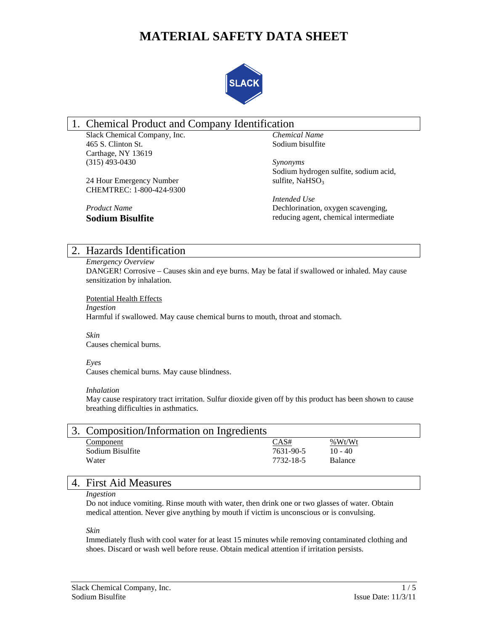# **MATERIAL SAFETY DATA SHEET**



# 1. Chemical Product and Company Identification

Slack Chemical Company, Inc. 465 S. Clinton St. Carthage, NY 13619 (315) 493-0430

24 Hour Emergency Number CHEMTREC: 1-800-424-9300

*Chemical Name* Sodium bisulfite

*Synonyms* Sodium hydrogen sulfite, sodium acid, sulfite, NaHSO<sub>3</sub>

*Intended Use* Dechlorination, oxygen scavenging, reducing agent, chemical intermediate

# 2. Hazards Identification

*Product Name* **Sodium Bisulfite**

*Emergency Overview* DANGER! Corrosive – Causes skin and eye burns. May be fatal if swallowed or inhaled. May cause sensitization by inhalation.

Potential Health Effects

*Ingestion*

Harmful if swallowed. May cause chemical burns to mouth, throat and stomach.

*Skin*

Causes chemical burns.

*Eyes*

Causes chemical burns. May cause blindness.

## *Inhalation*

May cause respiratory tract irritation. Sulfur dioxide given off by this product has been shown to cause breathing difficulties in asthmatics.

| Composition/Information on Ingredients |           |                |  |
|----------------------------------------|-----------|----------------|--|
| Component                              | CAS#      | %Wt/Wt         |  |
| Sodium Bisulfite                       | 7631-90-5 | $10 - 40$      |  |
| Water                                  | 7732-18-5 | <b>Balance</b> |  |
|                                        |           |                |  |

# 4. First Aid Measures

## *Ingestion*

Do not induce vomiting. Rinse mouth with water, then drink one or two glasses of water. Obtain medical attention. Never give anything by mouth if victim is unconscious or is convulsing.

*Skin*

Immediately flush with cool water for at least 15 minutes while removing contaminated clothing and shoes. Discard or wash well before reuse. Obtain medical attention if irritation persists.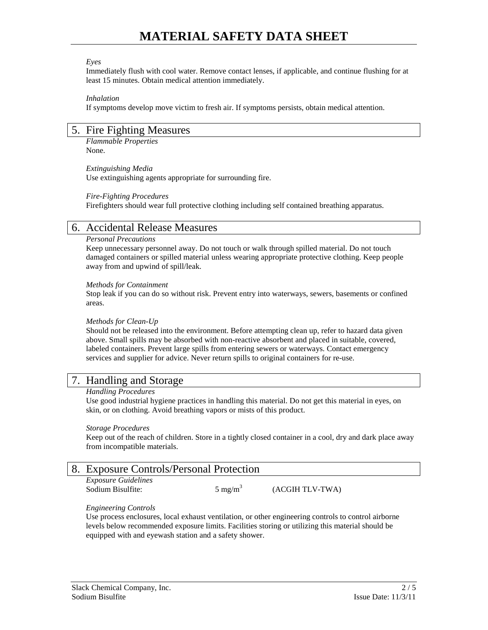#### *Eyes*

Immediately flush with cool water. Remove contact lenses, if applicable, and continue flushing for at least 15 minutes. Obtain medical attention immediately.

#### *Inhalation*

If symptoms develop move victim to fresh air. If symptoms persists, obtain medical attention.

## 5. Fire Fighting Measures

*Flammable Properties* None.

*Extinguishing Media* Use extinguishing agents appropriate for surrounding fire.

## *Fire-Fighting Procedures*

Firefighters should wear full protective clothing including self contained breathing apparatus.

## 6. Accidental Release Measures

## *Personal Precautions*

Keep unnecessary personnel away. Do not touch or walk through spilled material. Do not touch damaged containers or spilled material unless wearing appropriate protective clothing. Keep people away from and upwind of spill/leak.

## *Methods for Containment*

Stop leak if you can do so without risk. Prevent entry into waterways, sewers, basements or confined areas.

## *Methods for Clean-Up*

Should not be released into the environment. Before attempting clean up, refer to hazard data given above. Small spills may be absorbed with non-reactive absorbent and placed in suitable, covered, labeled containers. Prevent large spills from entering sewers or waterways. Contact emergency services and supplier for advice. Never return spills to original containers for re-use.

## 7. Handling and Storage

## *Handling Procedures*

Use good industrial hygiene practices in handling this material. Do not get this material in eyes, on skin, or on clothing. Avoid breathing vapors or mists of this product.

## *Storage Procedures*

Keep out of the reach of children. Store in a tightly closed container in a cool, dry and dark place away from incompatible materials.

| 8. Exposure Controls/Personal Protection        |                    |                 |  |
|-------------------------------------------------|--------------------|-----------------|--|
| <i>Exposure Guidelines</i><br>Sodium Bisulfite: | $5 \text{ mg/m}^3$ | (ACGIH TLV-TWA) |  |

## *Engineering Controls*

Use process enclosures, local exhaust ventilation, or other engineering controls to control airborne levels below recommended exposure limits. Facilities storing or utilizing this material should be equipped with and eyewash station and a safety shower.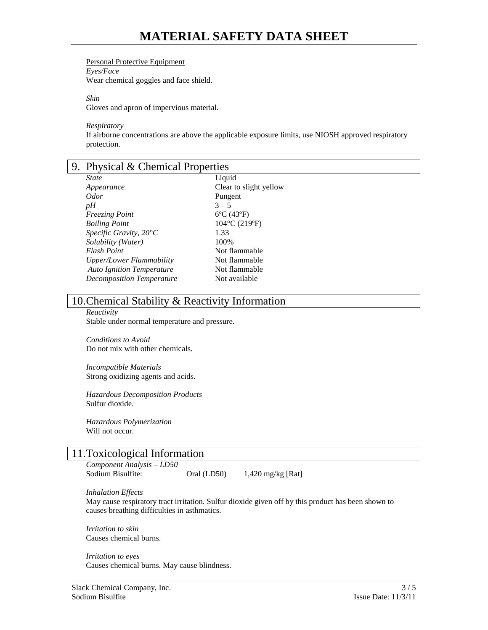## Personal Protective Equipment

*Eyes/Face*

Wear chemical goggles and face shield.

*Skin*

Gloves and apron of impervious material.

*Respiratory*

If airborne concentrations are above the applicable exposure limits, use NIOSH approved respiratory protection.

| 9. Physical & Chemical Properties |                                    |
|-----------------------------------|------------------------------------|
| <b>State</b>                      | Liquid                             |
| Appearance                        | Clear to slight yellow             |
| <i>Odor</i>                       | Pungent                            |
| pH                                | $3 - 5$                            |
| <i>Freezing Point</i>             | $6^{\circ}C(43^{\circ}F)$          |
| <b>Boiling Point</b>              | $104^{\circ}$ C (219 $^{\circ}$ F) |
| Specific Gravity, $20^{\circ}C$   | 1.33                               |
| Solubility (Water)                | 100%                               |
| <b>Flash Point</b>                | Not flammable                      |
| Upper/Lower Flammability          | Not flammable                      |
| <b>Auto Ignition Temperature</b>  | Not flammable                      |
| <b>Decomposition Temperature</b>  | Not available                      |

# 10.Chemical Stability & Reactivity Information

*Reactivity* Stable under normal temperature and pressure.

*Conditions to Avoid* Do not mix with other chemicals.

*Incompatible Materials* Strong oxidizing agents and acids.

*Hazardous Decomposition Products* Sulfur dioxide.

*Hazardous Polymerization* Will not occur.

# 11.Toxicological Information

*Component Analysis – LD50*  Sodium Bisulfite: Oral (LD50) 1,420 mg/kg [Rat]

*Inhalation Effects*

May cause respiratory tract irritation. Sulfur dioxide given off by this product has been shown to causes breathing difficulties in asthmatics.

*Irritation to skin* Causes chemical burns.

*Irritation to eyes* Causes chemical burns. May cause blindness.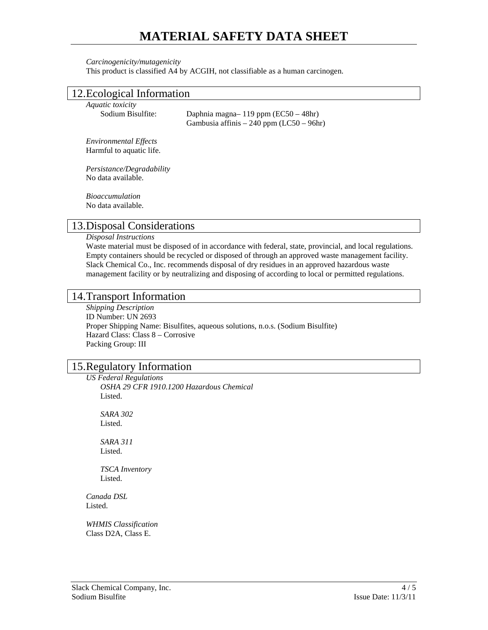# **MATERIAL SAFETY DATA SHEET**

#### *Carcinogenicity/mutagenicity*

This product is classified A4 by ACGIH, not classifiable as a human carcinogen.

## 12.Ecological Information

*Aquatic toxicity* Sodium Bisulfite: Daphnia magna– 119 ppm (EC50 – 48hr) Gambusia affinis – 240 ppm (LC50 – 96hr)

*Environmental Effects* Harmful to aquatic life.

*Persistance/Degradability* No data available.

*Bioaccumulation* No data available.

## 13.Disposal Considerations

*Disposal Instructions*

Waste material must be disposed of in accordance with federal, state, provincial, and local regulations. Empty containers should be recycled or disposed of through an approved waste management facility. Slack Chemical Co., Inc. recommends disposal of dry residues in an approved hazardous waste management facility or by neutralizing and disposing of according to local or permitted regulations.

## 14.Transport Information

*Shipping Description* ID Number: UN 2693 Proper Shipping Name: Bisulfites, aqueous solutions, n.o.s. (Sodium Bisulfite) Hazard Class: Class 8 – Corrosive Packing Group: III

# 15.Regulatory Information

*US Federal Regulations OSHA 29 CFR 1910.1200 Hazardous Chemical* Listed.

*SARA 302* Listed.

*SARA 311* Listed.

*TSCA Inventory* Listed.

*Canada DSL* Listed.

*WHMIS Classification* Class D2A, Class E.